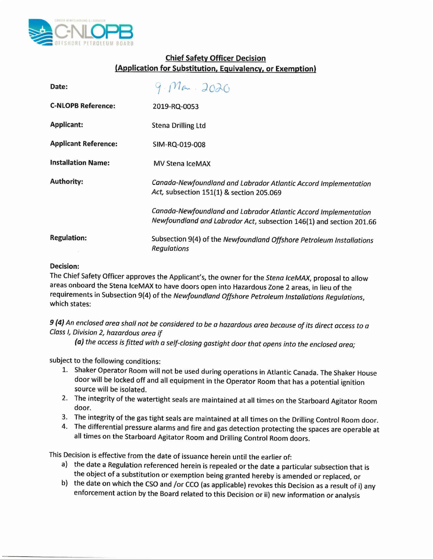

## **Chief Safety Officer Decision (Application for Substitution, Equivalency, or Exemption)**

| Date:                       | 9.02020                                                                                                                                |
|-----------------------------|----------------------------------------------------------------------------------------------------------------------------------------|
| <b>C-NLOPB Reference:</b>   | 2019-RQ-0053                                                                                                                           |
| <b>Applicant:</b>           | <b>Stena Drilling Ltd</b>                                                                                                              |
| <b>Applicant Reference:</b> | SIM-RQ-019-008                                                                                                                         |
| <b>Installation Name:</b>   | <b>MV Stena IceMAX</b>                                                                                                                 |
| <b>Authority:</b>           | Canada-Newfoundland and Labrador Atlantic Accord Implementation<br>Act, subsection 151(1) & section 205.069                            |
|                             | Canada-Newfoundland and Labrador Atlantic Accord Implementation<br>Newfoundland and Labrador Act, subsection 146(1) and section 201.66 |
| <b>Regulation:</b>          | Subsection 9(4) of the Newfoundland Offshore Petroleum Installations<br><b>Regulations</b>                                             |

## **Decision:**

The Chief Safety Officer approves the Applicant's, the owner for the *Stena IceMAX,* proposal to allow areas onboard the Stena IceMAX to have doors open into Hazardous Zone 2 areas, in lieu of the requirements in Subsection 9(4) of the *Newfoundland Offshore Petroleum Installations Regulations,* which states:

9 (4) An enclosed area shall not be considered to be a hazardous area because of its direct access to a *Class I, Division* 2, *hazardous area if*

*(a) the access is fitted with a self-closing gastight door that opens into the enclosed area;*

subject to the following conditions:

- 1. Shaker Operator Room will not be used during operations in Atlantic Canada. The Shaker House door will be locked off and all equipment in the Operator Room that has a potential ignition source will be isolated.
- 2. The integrity of the watertight seals are maintained at all times on the Starboard Agitator Room door.
- 3. The integrity of the gas tight seals are maintained at all times on the Drilling Control Room door.
- 4. The differential pressure alarms and fire and gas detection protecting the spaces are operable at all times on the Starboard Agitator Room and Drilling Control Room doors.

This Decision is effective from the date of issuance herein until the earlier of:

- a) the date a Regulation referenced herein is repealed or the date a particular subsection that is the object of a substitution or exemption being granted hereby is amended or replaced, or
- b) the date on which the CSOand *lor* CCo (as applicable) revokes this Decision as a result of i) any enforcement action by the Board related to this Decision or ii) new information or analysis